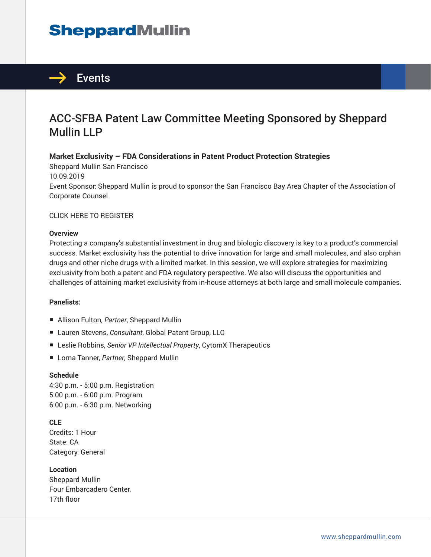# **SheppardMullin**



### ACC-SFBA Patent Law Committee Meeting Sponsored by Sheppard Mullin LLP

#### **Market Exclusivity – FDA Considerations in Patent Product Protection Strategies**

Sheppard Mullin San Francisco 10.09.2019 Event Sponsor: Sheppard Mullin is proud to sponsor the San Francisco Bay Area Chapter of the Association of Corporate Counsel

CLICK HERE TO REGISTER

#### **Overview**

Protecting a company's substantial investment in drug and biologic discovery is key to a product's commercial success. Market exclusivity has the potential to drive innovation for large and small molecules, and also orphan drugs and other niche drugs with a limited market. In this session, we will explore strategies for maximizing exclusivity from both a patent and FDA regulatory perspective. We also will discuss the opportunities and challenges of attaining market exclusivity from in-house attorneys at both large and small molecule companies.

#### **Panelists:**

- Allison Fulton, Partner, Sheppard Mullin
- Lauren Stevens, *Consultant*, Global Patent Group, LLC
- Leslie Robbins, *Senior VP Intellectual Property*, CytomX Therapeutics
- Lorna Tanner, *Partner*, Sheppard Mullin

#### **Schedule**

4:30 p.m. - 5:00 p.m. Registration 5:00 p.m. - 6:00 p.m. Program 6:00 p.m. - 6:30 p.m. Networking

**CLE** Credits: 1 Hour State: CA Category: General

**Location** Sheppard Mullin Four Embarcadero Center, 17th floor